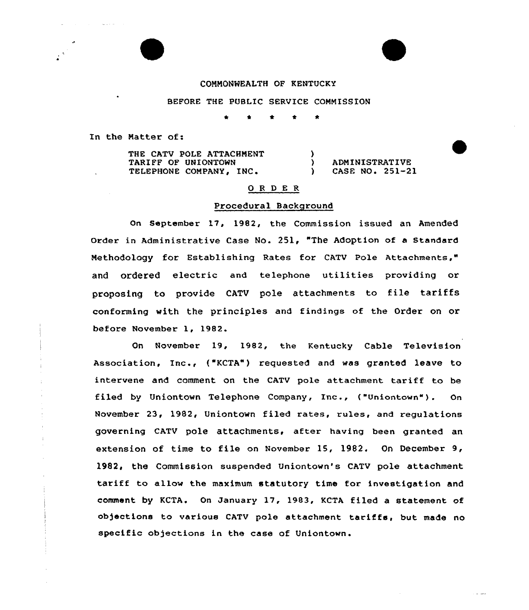## CONNONNEALTH OF KENTUCKY

## BEFORE THE PUBLIC SERVICE CONMISSION

\* <sup>4</sup> 4 \* \*

In the Natter of:

THE CATV POLE ATTACHNENT TARIFF OF UNIONTOWN TARIFF OF UNIONTOWN (AND MEADMINISTRATIVE)<br>TELEPHONE COMPANY, INC. (ASE NO. 251-2)

) CASE NO. 251-21

#### 0 <sup>R</sup> <sup>D</sup> E <sup>R</sup>

 $\mathbf{r}$ 

#### Procedural Background

On Septembex 17, 1982, the Commission issued an Amended Order in Administrative Case No. 251, "The Adoption of a Standard Nethodology for Establishing Rates fox CATV Pole Attachments," and ordered electric and telephone utilities providing or proposing to provide CATV pole attachments to file tariffs conforming with the principles and findings af the Order on or befoxe November 1, 1982.

On November 19, 1982, the Kentucky Cable Television Association, Inc., ("KCTA") xequested and was gxanted leave to intervene and comment on the CATV pole attachment tariff to be filed by Uniontown Telephone Company, Inc., ("Uniontawn"). On November 23, 1982, Uniontown filed rates, rules, and regulations governing CATV pole attachments, after having been granted an extension of time to file an November 15, 1982. On December 9, 1982, the Commission suspended Uniontown's CATV pole attachment tariff to allow the maximum statutory time for investigation and comment by KCTA. On January 17, 1983, KCTA filed a statement of objections to various CATV pole attachment tariffs, but made no specific objections in the case of Uniontown.